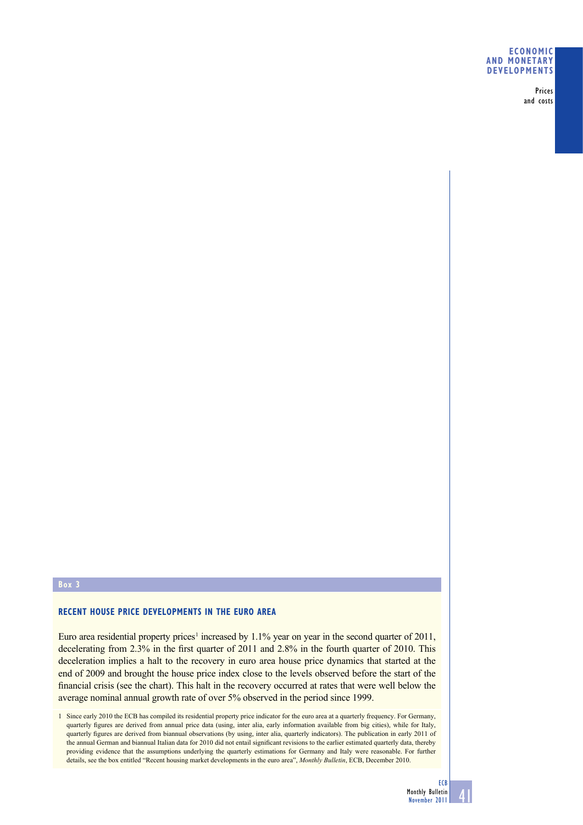#### **ECONOMIC AND MONETARY DEVELOPMENTS**

Prices and costs

# **Box 3**

#### **RECENT HOUSE PRICE DEVELOPMENTS IN THE EURO AREA**

Euro area residential property prices<sup>1</sup> increased by 1.1% year on year in the second quarter of 2011, decelerating from  $2.3\%$  in the first quarter of 2011 and  $2.8\%$  in the fourth quarter of 2010. This deceleration implies a halt to the recovery in euro area house price dynamics that started at the end of 2009 and brought the house price index close to the levels observed before the start of the financial crisis (see the chart). This halt in the recovery occurred at rates that were well below the average nominal annual growth rate of over 5% observed in the period since 1999.

1 Since early 2010 the ECB has compiled its residential property price indicator for the euro area at a quarterly frequency. For Germany, quarterly figures are derived from annual price data (using, inter alia, early information available from big cities), while for Italy, quarterly figures are derived from biannual observations (by using, inter alia, quarterly indicators). The publication in early 2011 of the annual German and biannual Italian data for 2010 did not entail significant revisions to the earlier estimated quarterly data, thereby providing evidence that the assumptions underlying the quarterly estimations for Germany and Italy were reasonable. For further details, see the box entitled "Recent housing market developments in the euro area", *Monthly Bulletin*, ECB, December 2010.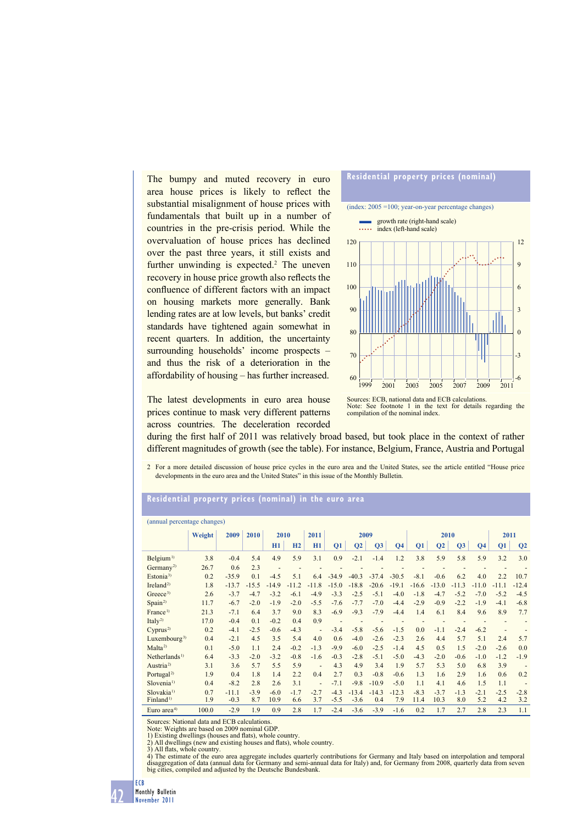The bumpy and muted recovery in euro area house prices is likely to reflect the substantial misalignment of house prices with fundamentals that built up in a number of countries in the pre-crisis period. While the overvaluation of house prices has declined over the past three years, it still exists and further unwinding is expected.<sup>2</sup> The uneven recovery in house price growth also reflects the confluence of different factors with an impact on housing markets more generally. Bank lending rates are at low levels, but banks' credit standards have tightened again somewhat in recent quarters. In addition, the uncertainty surrounding households' income prospects – and thus the risk of a deterioration in the affordability of housing – has further increased.



The latest developments in euro area house prices continue to mask very different patterns across countries. The deceleration recorded

Sources: ECB, national data and ECB calculations Note: See footnote 1 in the text for details regarding the compilation of the nominal index.

during the first half of 2011 was relatively broad based, but took place in the context of rather different magnitudes of growth (see the table). For instance, Belgium, France, Austria and Portugal

2 For a more detailed discussion of house price cycles in the euro area and the United States, see the article entitled "House price developments in the euro area and the United States" in this issue of the Monthly Bulletin.

## **Residential property prices (nominal) in the euro area**

| (annual percentage changes) |        |         |         |                          |         |                          |         |                |         |                |         |                |         |                              |                          |                |
|-----------------------------|--------|---------|---------|--------------------------|---------|--------------------------|---------|----------------|---------|----------------|---------|----------------|---------|------------------------------|--------------------------|----------------|
|                             | Weight | 2009    | 2010    | 2010                     |         | 2011                     | 2009    |                |         | 2010           |         |                |         | 2011                         |                          |                |
|                             |        |         |         | H1                       | H2      | H1                       | Q1      | Q <sub>2</sub> | Q3      | Q <sub>4</sub> | Q1      | Q <sub>2</sub> | Q3      | Q <sub>4</sub>               | Q1                       | Q <sub>2</sub> |
| Belgium <sup>1)</sup>       | 3.8    | $-0.4$  | 5.4     | 4.9                      | 5.9     | 3.1                      | 0.9     | $-2.1$         | $-1.4$  | 1.2            | 3.8     | 5.9            | 5.8     | 5.9                          | 3.2                      | 3.0            |
| Germany <sup>2)</sup>       | 26.7   | 0.6     | 2.3     | $\overline{\phantom{a}}$ |         |                          |         |                |         |                |         | ٠              | ٠       | $\qquad \qquad \blacksquare$ | ٠                        |                |
| Estonia <sup>3)</sup>       | 0.2    | $-35.9$ | 0.1     | $-4.5$                   | 5.1     | 6.4                      | $-34.9$ | $-40.3$        | $-37.4$ | $-30.5$        | $-8.1$  | $-0.6$         | 6.2     | 4.0                          | 2.2                      | 10.7           |
| Ireland <sup>2)</sup>       | 1.8    | $-13.7$ | $-15.5$ | $-14.9$                  | $-11.2$ | $-11.8$                  | $-15.0$ | $-18.8$        | $-20.6$ | $-19.1$        | $-16.6$ | $-13.0$        | $-11.3$ | $-11.0$                      | $-11.1$                  | $-12.4$        |
| Greeze <sup>3</sup>         | 2.6    | $-3.7$  | $-4.7$  | $-3.2$                   | $-6.1$  | $-4.9$                   | $-3.3$  | $-2.5$         | $-5.1$  | $-4.0$         | $-1.8$  | $-4.7$         | $-5.2$  | $-7.0$                       | $-5.2$                   | $-4.5$         |
| Span <sup>2</sup>           | 11.7   | $-6.7$  | $-2.0$  | $-1.9$                   | $-2.0$  | $-5.5$                   | $-7.6$  | $-7.7$         | $-7.0$  | $-4.4$         | $-2.9$  | $-0.9$         | $-2.2$  | $-1.9$                       | $-4.1$                   | $-6.8$         |
| France <sup>1)</sup>        | 21.3   | $-7.1$  | 6.4     | 3.7                      | 9.0     | 8.3                      | $-6.9$  | $-9.3$         | $-7.9$  | $-4.4$         | 1.4     | 6.1            | 8.4     | 9.6                          | 8.9                      | 7.7            |
| Ital $v^{2}$                | 17.0   | $-0.4$  | 0.1     | $-0.2$                   | 0.4     | 0.9                      |         |                |         |                |         |                |         |                              |                          |                |
| Cyprus <sup>2</sup>         | 0.2    | $-4.1$  | $-2.5$  | $-0.6$                   | $-4.3$  | $\overline{\phantom{a}}$ | $-3.4$  | $-5.8$         | $-5.6$  | $-1.5$         | 0.0     | $-1.1$         | $-2.4$  | $-6.2$                       | $\overline{\phantom{a}}$ |                |
| Luxembourg <sup>3)</sup>    | 0.4    | $-2.1$  | 4.5     | 3.5                      | 5.4     | 4.0                      | 0.6     | $-4.0$         | $-2.6$  | $-2.3$         | 2.6     | 4.4            | 5.7     | 5.1                          | 2.4                      | 5.7            |
| Malta <sup>2</sup>          | 0.1    | $-5.0$  | 1.1     | 2.4                      | $-0.2$  | $-1.3$                   | $-9.9$  | $-6.0$         | $-2.5$  | $-1.4$         | 4.5     | 0.5            | 1.5     | $-2.0$                       | $-2.6$                   | 0.0            |
| Netherlands <sup>1)</sup>   | 6.4    | $-3.3$  | $-2.0$  | $-3.2$                   | $-0.8$  | $-1.6$                   | $-0.3$  | $-2.8$         | $-5.1$  | $-5.0$         | $-4.3$  | $-2.0$         | $-0.6$  | $-1.0$                       | $-1.2$                   | $-1.9$         |
| Austria <sup>2)</sup>       | 3.1    | 3.6     | 5.7     | 5.5                      | 5.9     | $\blacksquare$           | 4.3     | 4.9            | 3.4     | 1.9            | 5.7     | 5.3            | 5.0     | 6.8                          | 3.9                      | ä,             |
| Portugal <sup>2)</sup>      | 1.9    | 0.4     | 1.8     | 1.4                      | 2.2     | 0.4                      | 2.7     | 0.3            | $-0.8$  | $-0.6$         | 1.3     | 1.6            | 2.9     | 1.6                          | 0.6                      | 0.2            |
| Slovenia <sup>1)</sup>      | 0.4    | $-8.2$  | 2.8     | 2.6                      | 3.1     | ٠                        | $-7.1$  | $-9.8$         | $-10.9$ | $-5.0$         | 1.1     | 4.1            | 4.6     | 1.5                          | 1.1                      |                |
| Slovakia <sup>1)</sup>      | 0.7    | $-11.1$ | $-3.9$  | $-6.0$                   | $-1.7$  | $-2.7$                   | $-4.3$  | $-13.4$        | $-14.3$ | $-12.3$        | $-8.3$  | $-3.7$         | $-1.3$  | $-2.1$                       | $-2.5$                   | $-2.8$         |
| Finland <sup>1)</sup>       | 1.9    | $-0.3$  | 8.7     | 10.9                     | 6.6     | 3.7                      | $-5.5$  | $-3.6$         | 0.4     | 7.9            | 11.4    | 10.3           | 8.0     | 5.2                          | 4.2                      | 3.2            |
| Euro area <sup>4)</sup>     | 100.0  | $-2.9$  | 1.9     | 0.9                      | 2.8     | 1.7                      | $-2.4$  | $-3.6$         | $-3.9$  | $-1.6$         | 0.2     | 1.7            | 2.7     | 2.8                          | 2.3                      | 1.1            |

Sources: National data and ECB calculations. Note: Weights are based on 2009 nominal GDP.

1) Existing dwellings (houses and flats), whole country

2) All dwellings (new and existing houses and flats), whole country.

3) All flats, whole country.<br>4) The estimate of the euro area aggregate includes quarterly contributions for Germany and Italy based on interpolation and temporal disaggregation of data (annual data for Germany and semi-annual data for Italy) and, for Germany from 2008, quarterly data from seven big cities, compiled and adjusted by the Deutsche Bundesbank.



ECB